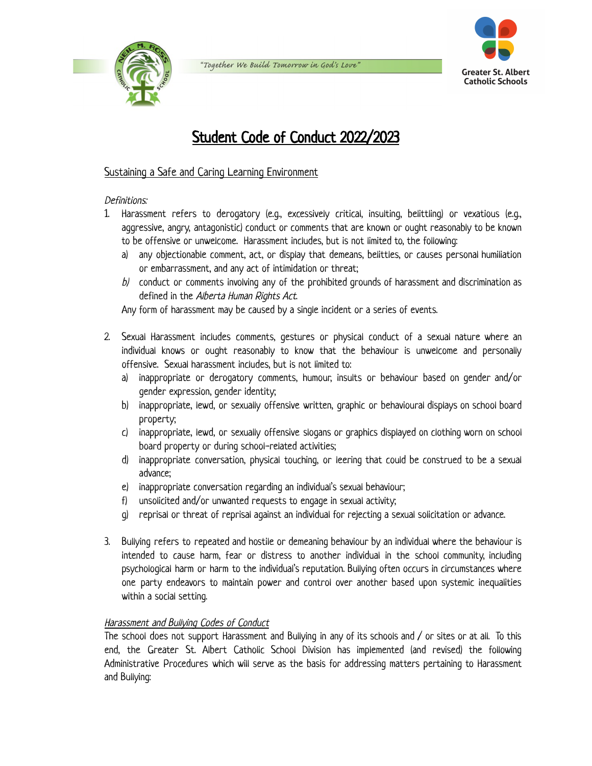





# Student Code of Conduct 2022/2023

## Sustaining a Safe and Caring Learning Environment

#### Definitions:

- 1. Harassment refers to derogatory (e.g., excessively critical, insulting, belittling) or vexatious (e.g., aggressive, angry, antagonistic) conduct or comments that are known or ought reasonably to be known to be offensive or unwelcome. Harassment includes, but is not limited to, the following:
	- a) any objectionable comment, act, or display that demeans, belittles, or causes personal humiliation or embarrassment, and any act of intimidation or threat;
	- $b$  conduct or comments involving any of the prohibited grounds of harassment and discrimination as defined in the Alberta Human Rights Act.

Any form of harassment may be caused by a single incident or a series of events.

- 2. Sexual Harassment includes comments, gestures or physical conduct of a sexual nature where an individual knows or ought reasonably to know that the behaviour is unwelcome and personally offensive. Sexual harassment includes, but is not limited to:
	- a) inappropriate or derogatory comments, humour, insults or behaviour based on gender and/or gender expression, gender identity;
	- b) inappropriate, lewd, or sexually offensive written, graphic or behavioural displays on school board property;
	- c) inappropriate, lewd, or sexually offensive slogans or graphics displayed on clothing worn on school board property or during school-related activities;
	- d) inappropriate conversation, physical touching, or leering that could be construed to be a sexual advance;
	- e) inappropriate conversation regarding an individual's sexual behaviour;
	- f) unsolicited and/or unwanted requests to engage in sexual activity;
	- g) reprisal or threat of reprisal against an individual for rejecting a sexual solicitation or advance.
- 3. Bullying refers to repeated and hostile or demeaning behaviour by an individual where the behaviour is intended to cause harm, fear or distress to another individual in the school community, including psychological harm or harm to the individual's reputation. Bullying often occurs in circumstances where one party endeavors to maintain power and control over another based upon systemic inequalities within a social setting.

### Harassment and Bullying Codes of Conduct

The school does not support Harassment and Bullying in any of its schools and / or sites or at all. To this end, the Greater St. Albert Catholic School Division has implemented (and revised) the following Administrative Procedures which will serve as the basis for addressing matters pertaining to Harassment and Bullying: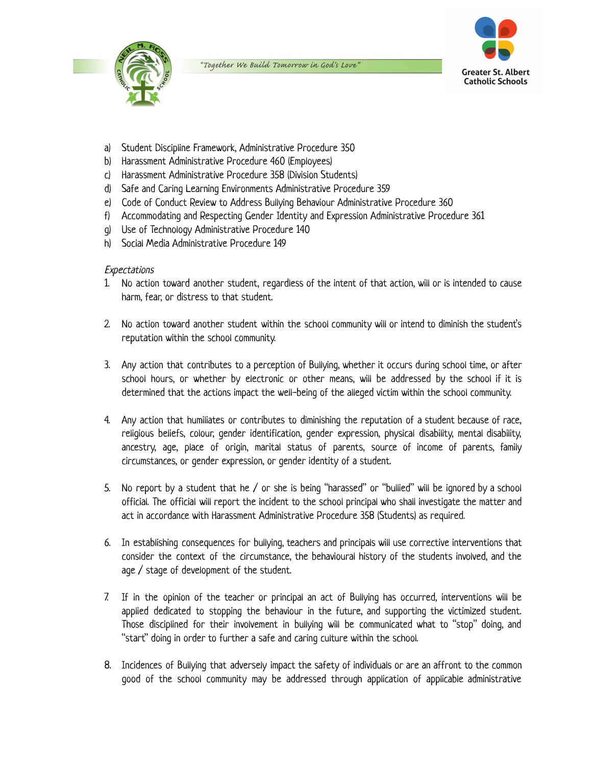



- a) Student Discipline Framework, Administrative Procedure 350
- b) Harassment Administrative Procedure 460 (Employees)
- c) Harassment Administrative Procedure 358 (Division Students)
- d) Safe and Caring Learning Environments Administrative Procedure 359
- e) Code of Conduct Review to Address Bullying Behaviour Administrative Procedure 360
- f) Accommodating and Respecting Gender Identity and Expression Administrative Procedure 361
- g) Use of Technology Administrative Procedure 140
- h) Social Media Administrative Procedure 149

#### **Expectations**

- 1. No action toward another student, regardless of the intent of that action, will or is intended to cause harm, fear, or distress to that student.
- 2. No action toward another student within the school community will or intend to diminish the student's reputation within the school community.
- 3. Any action that contributes to a perception of Bullying, whether it occurs during school time, or after school hours, or whether by electronic or other means, will be addressed by the school if it is determined that the actions impact the well-being of the alleged victim within the school community.
- 4. Any action that humiliates or contributes to diminishing the reputation of a student because of race, religious beliefs, colour, gender identification, gender expression, physical disability, mental disability, ancestry, age, place of origin, marital status of parents, source of income of parents, family circumstances, or gender expression, or gender identity of a student.
- 5. No report by a student that he / or she is being "harassed" or "bullied" will be ignored by a school official. The official will report the incident to the school principal who shall investigate the matter and act in accordance with Harassment Administrative Procedure 358 (Students) as required.
- 6. In establishing consequences for bullying, teachers and principals will use corrective interventions that consider the context of the circumstance, the behavioural history of the students involved, and the age / stage of development of the student.
- 7. If in the opinion of the teacher or principal an act of Bullying has occurred, interventions will be applied dedicated to stopping the behaviour in the future, and supporting the victimized student. Those disciplined for their involvement in bullying will be communicated what to "stop" doing, and "start" doing in order to further a safe and caring culture within the school.
- 8. Incidences of Bullying that adversely impact the safety of individuals or are an affront to the common good of the school community may be addressed through application of applicable administrative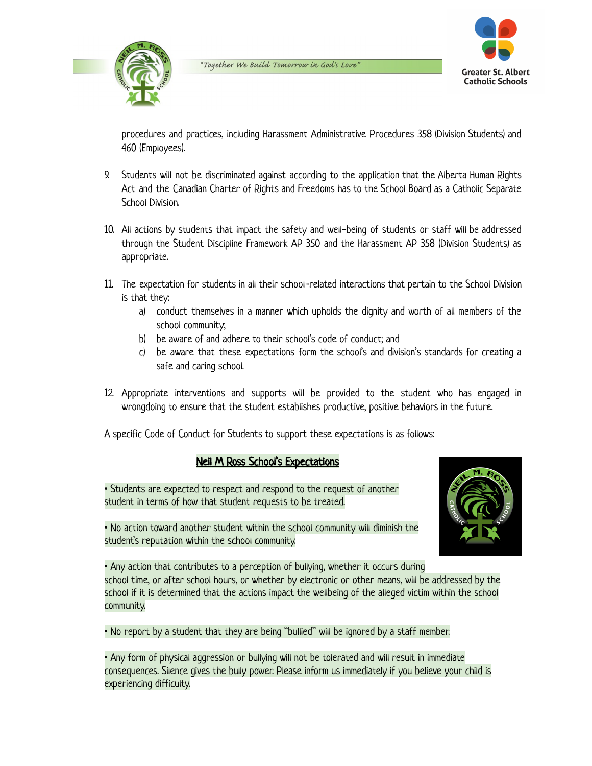



procedures and practices, including Harassment Administrative Procedures 358 (Division Students) and 460 (Employees).

- 9. Students will not be discriminated against according to the application that the Alberta Human Rights Act and the Canadian Charter of Rights and Freedoms has to the School Board as a Catholic Separate School Division.
- 10. All actions by students that impact the safety and well-being of students or staff will be addressed through the Student Discipline Framework AP 350 and the Harassment AP 358 (Division Students) as appropriate.
- 11. The expectation for students in all their school-related interactions that pertain to the School Division is that they:
	- a) conduct themselves in a manner which upholds the dignity and worth of all members of the school community;
	- b) be aware of and adhere to their school's code of conduct; and
	- c) be aware that these expectations form the school's and division's standards for creating a safe and caring school.
- 12. Appropriate interventions and supports will be provided to the student who has engaged in wrongdoing to ensure that the student establishes productive, positive behaviors in the future.

A specific Code of Conduct for Students to support these expectations is as follows:

### Neil M Ross School's Expectations

• Students are expected to respect and respond to the request of another student in terms of how that student requests to be treated.



• No action toward another student within the school community will diminish the student's reputation within the school community.

• Any action that contributes to a perception of bullying, whether it occurs during school time, or after school hours, or whether by electronic or other means, will be addressed by the school if it is determined that the actions impact the wellbeing of the alleged victim within the school community.

• No report by a student that they are being "bullied" will be ignored by a staff member.

• Any form of physical aggression or bullying will not be tolerated and will result in immediate consequences. Silence gives the bully power. Please inform us immediately if you believe your child is experiencing difficulty.